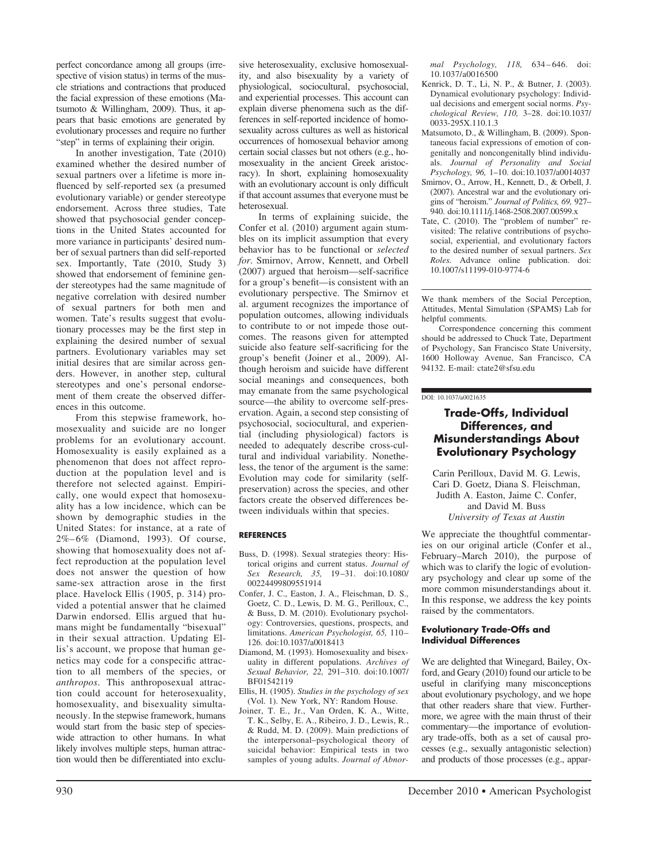perfect concordance among all groups (irrespective of vision status) in terms of the muscle striations and contractions that produced the facial expression of these emotions (Matsumoto & Willingham, 2009). Thus, it appears that basic emotions are generated by evolutionary processes and require no further "step" in terms of explaining their origin.

In another investigation, Tate (2010) examined whether the desired number of sexual partners over a lifetime is more influenced by self-reported sex (a presumed evolutionary variable) or gender stereotype endorsement. Across three studies, Tate showed that psychosocial gender conceptions in the United States accounted for more variance in participants' desired number of sexual partners than did self-reported sex. Importantly, Tate (2010, Study 3) showed that endorsement of feminine gender stereotypes had the same magnitude of negative correlation with desired number of sexual partners for both men and women. Tate's results suggest that evolutionary processes may be the first step in explaining the desired number of sexual partners. Evolutionary variables may set initial desires that are similar across genders. However, in another step, cultural stereotypes and one's personal endorsement of them create the observed differences in this outcome.

From this stepwise framework, homosexuality and suicide are no longer problems for an evolutionary account. Homosexuality is easily explained as a phenomenon that does not affect reproduction at the population level and is therefore not selected against. Empirically, one would expect that homosexuality has a low incidence, which can be shown by demographic studies in the United States: for instance, at a rate of 2%–6% (Diamond, 1993). Of course, showing that homosexuality does not affect reproduction at the population level does not answer the question of how same-sex attraction arose in the first place. Havelock Ellis (1905, p. 314) provided a potential answer that he claimed Darwin endorsed. Ellis argued that humans might be fundamentally "bisexual" in their sexual attraction. Updating Ellis's account, we propose that human genetics may code for a conspecific attraction to all members of the species, or *anthropos*. This anthroposexual attraction could account for heterosexuality, homosexuality, and bisexuality simultaneously. In the stepwise framework, humans would start from the basic step of specieswide attraction to other humans. In what likely involves multiple steps, human attraction would then be differentiated into exclusive heterosexuality, exclusive homosexuality, and also bisexuality by a variety of physiological, sociocultural, psychosocial, and experiential processes. This account can explain diverse phenomena such as the differences in self-reported incidence of homosexuality across cultures as well as historical occurrences of homosexual behavior among certain social classes but not others (e.g., homosexuality in the ancient Greek aristocracy). In short, explaining homosexuality with an evolutionary account is only difficult if that account assumes that everyone must be heterosexual.

In terms of explaining suicide, the Confer et al. (2010) argument again stumbles on its implicit assumption that every behavior has to be functional or *selected for*. Smirnov, Arrow, Kennett, and Orbell (2007) argued that heroism—self-sacrifice for a group's benefit—is consistent with an evolutionary perspective. The Smirnov et al. argument recognizes the importance of population outcomes, allowing individuals to contribute to or not impede those outcomes. The reasons given for attempted suicide also feature self-sacrificing for the group's benefit (Joiner et al., 2009). Although heroism and suicide have different social meanings and consequences, both may emanate from the same psychological source—the ability to overcome self-preservation. Again, a second step consisting of psychosocial, sociocultural, and experiential (including physiological) factors is needed to adequately describe cross-cultural and individual variability. Nonetheless, the tenor of the argument is the same: Evolution may code for similarity (selfpreservation) across the species, and other factors create the observed differences between individuals within that species.

### **REFERENCES**

- Buss, D. (1998). Sexual strategies theory: Historical origins and current status. *Journal of Sex Research, 35,* 19–31. doi:10.1080/ 00224499809551914
- Confer, J. C., Easton, J. A., Fleischman, D. S., Goetz, C. D., Lewis, D. M. G., Perilloux, C., & Buss, D. M. (2010). Evolutionary psychology: Controversies, questions, prospects, and limitations. *American Psychologist, 65,* 110– 126. doi:10.1037/a0018413
- Diamond, M. (1993). Homosexuality and bisexuality in different populations. *Archives of Sexual Behavior, 22,* 291–310. doi:10.1007/ BF01542119
- Ellis, H. (1905). *Studies in the psychology of sex* (Vol. 1). New York, NY: Random House.
- Joiner, T. E., Jr., Van Orden, K. A., Witte, T. K., Selby, E. A., Ribeiro, J. D., Lewis, R., & Rudd, M. D. (2009). Main predictions of the interpersonal–psychological theory of suicidal behavior: Empirical tests in two samples of young adults. *Journal of Abnor-*

*mal Psychology, 118,* 634–646. doi: 10.1037/a0016500

- Kenrick, D. T., Li, N. P., & Butner, J. (2003). Dynamical evolutionary psychology: Individual decisions and emergent social norms. *Psychological Review, 110,* 3–28. doi:10.1037/ 0033-295X.110.1.3
- Matsumoto, D., & Willingham, B. (2009). Spontaneous facial expressions of emotion of congenitally and noncongenitally blind individuals. *Journal of Personality and Social Psychology, 96,* 1–10. doi:10.1037/a0014037
- Smirnov, O., Arrow, H., Kennett, D., & Orbell, J. (2007). Ancestral war and the evolutionary origins of "heroism." *Journal of Politics, 69,* 927– 940. doi:10.1111/j.1468-2508.2007.00599.x
- Tate, C. (2010). The "problem of number" revisited: The relative contributions of psychosocial, experiential, and evolutionary factors to the desired number of sexual partners. *Sex Roles.* Advance online publication. doi: 10.1007/s11199-010-9774-6

We thank members of the Social Perception, Attitudes, Mental Simulation (SPAMS) Lab for helpful comments.

Correspondence concerning this comment should be addressed to Chuck Tate, Department of Psychology, San Francisco State University, 1600 Holloway Avenue, San Francisco, CA 94132. E-mail: ctate2@sfsu.edu

#### DOI: 10.1037/a0021635

## **Trade-Offs, Individual Differences, and Misunderstandings About Evolutionary Psychology**

Carin Perilloux, David M. G. Lewis, Cari D. Goetz, Diana S. Fleischman, Judith A. Easton, Jaime C. Confer, and David M. Buss *University of Texas at Austin*

We appreciate the thoughtful commentaries on our original article (Confer et al., February–March 2010), the purpose of which was to clarify the logic of evolutionary psychology and clear up some of the more common misunderstandings about it. In this response, we address the key points raised by the commentators.

#### **Evolutionary Trade-Offs and Individual Differences**

We are delighted that Winegard, Bailey, Oxford, and Geary (2010) found our article to be useful in clarifying many misconceptions about evolutionary psychology, and we hope that other readers share that view. Furthermore, we agree with the main thrust of their commentary—the importance of evolutionary trade-offs, both as a set of causal processes (e.g., sexually antagonistic selection) and products of those processes (e.g., appar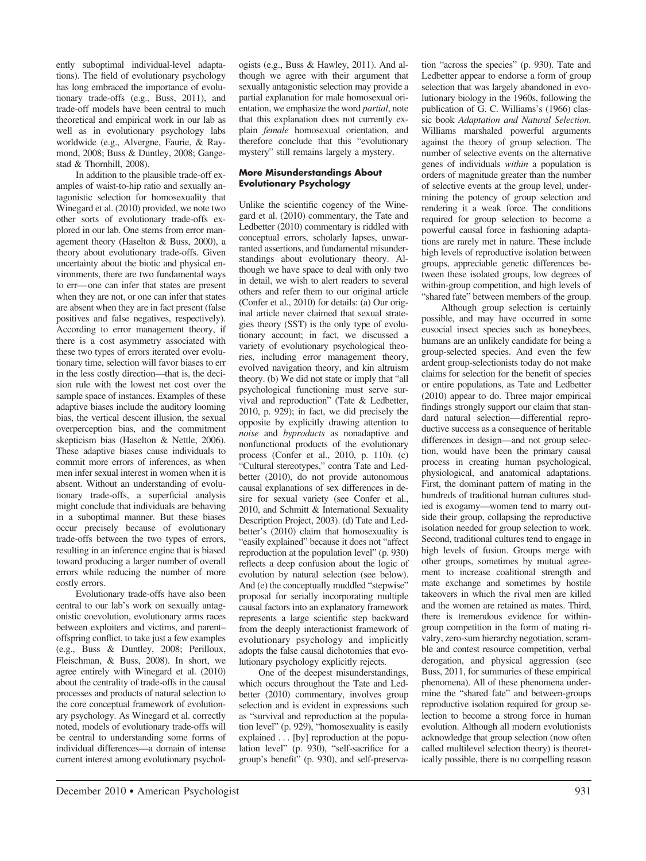ently suboptimal individual-level adaptations). The field of evolutionary psychology has long embraced the importance of evolutionary trade-offs (e.g., Buss, 2011), and trade-off models have been central to much theoretical and empirical work in our lab as well as in evolutionary psychology labs worldwide (e.g., Alvergne, Faurie, & Raymond, 2008; Buss & Duntley, 2008; Gangestad & Thornhill, 2008).

In addition to the plausible trade-off examples of waist-to-hip ratio and sexually antagonistic selection for homosexuality that Winegard et al. (2010) provided, we note two other sorts of evolutionary trade-offs explored in our lab. One stems from error management theory (Haselton & Buss, 2000), a theory about evolutionary trade-offs. Given uncertainty about the biotic and physical environments, there are two fundamental ways to err—one can infer that states are present when they are not, or one can infer that states are absent when they are in fact present (false positives and false negatives, respectively). According to error management theory, if there is a cost asymmetry associated with these two types of errors iterated over evolutionary time, selection will favor biases to err in the less costly direction—that is, the decision rule with the lowest net cost over the sample space of instances. Examples of these adaptive biases include the auditory looming bias, the vertical descent illusion, the sexual overperception bias, and the commitment skepticism bias (Haselton & Nettle, 2006). These adaptive biases cause individuals to commit more errors of inferences, as when men infer sexual interest in women when it is absent. Without an understanding of evolutionary trade-offs, a superficial analysis might conclude that individuals are behaving in a suboptimal manner. But these biases occur precisely because of evolutionary trade-offs between the two types of errors, resulting in an inference engine that is biased toward producing a larger number of overall errors while reducing the number of more costly errors.

Evolutionary trade-offs have also been central to our lab's work on sexually antagonistic coevolution, evolutionary arms races between exploiters and victims, and parent– offspring conflict, to take just a few examples (e.g., Buss & Duntley, 2008; Perilloux, Fleischman, & Buss, 2008). In short, we agree entirely with Winegard et al. (2010) about the centrality of trade-offs in the causal processes and products of natural selection to the core conceptual framework of evolutionary psychology. As Winegard et al. correctly noted, models of evolutionary trade-offs will be central to understanding some forms of individual differences—a domain of intense current interest among evolutionary psychologists (e.g., Buss & Hawley, 2011). And although we agree with their argument that sexually antagonistic selection may provide a partial explanation for male homosexual orientation, we emphasize the word *partial*, note that this explanation does not currently explain *female* homosexual orientation, and therefore conclude that this "evolutionary mystery" still remains largely a mystery.

## **More Misunderstandings About Evolutionary Psychology**

Unlike the scientific cogency of the Winegard et al. (2010) commentary, the Tate and Ledbetter (2010) commentary is riddled with conceptual errors, scholarly lapses, unwarranted assertions, and fundamental misunderstandings about evolutionary theory. Although we have space to deal with only two in detail, we wish to alert readers to several others and refer them to our original article (Confer et al., 2010) for details: (a) Our original article never claimed that sexual strategies theory (SST) is the only type of evolutionary account; in fact, we discussed a variety of evolutionary psychological theories, including error management theory, evolved navigation theory, and kin altruism theory. (b) We did not state or imply that "all psychological functioning must serve survival and reproduction" (Tate & Ledbetter, 2010, p. 929); in fact, we did precisely the opposite by explicitly drawing attention to *noise* and *byproducts* as nonadaptive and nonfunctional products of the evolutionary process (Confer et al., 2010, p. 110). (c) "Cultural stereotypes," contra Tate and Ledbetter (2010), do not provide autonomous causal explanations of sex differences in desire for sexual variety (see Confer et al., 2010, and Schmitt & International Sexuality Description Project, 2003). (d) Tate and Ledbetter's (2010) claim that homosexuality is "easily explained" because it does not "affect reproduction at the population level" (p. 930) reflects a deep confusion about the logic of evolution by natural selection (see below). And (e) the conceptually muddled "stepwise" proposal for serially incorporating multiple causal factors into an explanatory framework represents a large scientific step backward from the deeply interactionist framework of evolutionary psychology and implicitly adopts the false causal dichotomies that evolutionary psychology explicitly rejects.

One of the deepest misunderstandings, which occurs throughout the Tate and Ledbetter (2010) commentary, involves group selection and is evident in expressions such as "survival and reproduction at the population level" (p. 929), "homosexuality is easily explained . . . [by] reproduction at the population level" (p. 930), "self-sacrifice for a group's benefit" (p. 930), and self-preserva-

tion "across the species" (p. 930). Tate and Ledbetter appear to endorse a form of group selection that was largely abandoned in evolutionary biology in the 1960s, following the publication of G. C. Williams's (1966) classic book *Adaptation and Natural Selection*. Williams marshaled powerful arguments against the theory of group selection. The number of selective events on the alternative genes of individuals *within* a population is orders of magnitude greater than the number of selective events at the group level, undermining the potency of group selection and rendering it a weak force. The conditions required for group selection to become a powerful causal force in fashioning adaptations are rarely met in nature. These include high levels of reproductive isolation between groups, appreciable genetic differences between these isolated groups, low degrees of within-group competition, and high levels of "shared fate" between members of the group.

Although group selection is certainly possible, and may have occurred in some eusocial insect species such as honeybees, humans are an unlikely candidate for being a group-selected species. And even the few ardent group-selectionists today do not make claims for selection for the benefit of species or entire populations, as Tate and Ledbetter (2010) appear to do. Three major empirical findings strongly support our claim that standard natural selection—differential reproductive success as a consequence of heritable differences in design—and not group selection, would have been the primary causal process in creating human psychological, physiological, and anatomical adaptations. First, the dominant pattern of mating in the hundreds of traditional human cultures studied is exogamy—women tend to marry outside their group, collapsing the reproductive isolation needed for group selection to work. Second, traditional cultures tend to engage in high levels of fusion. Groups merge with other groups, sometimes by mutual agreement to increase coalitional strength and mate exchange and sometimes by hostile takeovers in which the rival men are killed and the women are retained as mates. Third, there is tremendous evidence for withingroup competition in the form of mating rivalry, zero-sum hierarchy negotiation, scramble and contest resource competition, verbal derogation, and physical aggression (see Buss, 2011, for summaries of these empirical phenomena). All of these phenomena undermine the "shared fate" and between-groups reproductive isolation required for group selection to become a strong force in human evolution. Although all modern evolutionists acknowledge that group selection (now often called multilevel selection theory) is theoretically possible, there is no compelling reason